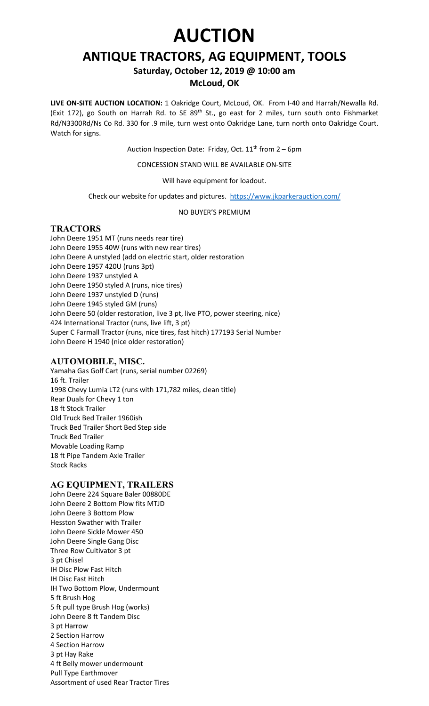# **AUCTION**

# **ANTIQUE TRACTORS, AG EQUIPMENT, TOOLS**

**Saturday, October 12, 2019 @ 10:00 am**

## **McLoud, OK**

**LIVE ON-SITE AUCTION LOCATION:** 1 Oakridge Court, McLoud, OK. From I-40 and Harrah/Newalla Rd. (Exit 172), go South on Harrah Rd. to SE 89<sup>th</sup> St., go east for 2 miles, turn south onto Fishmarket Rd/N3300Rd/Ns Co Rd. 330 for .9 mile, turn west onto Oakridge Lane, turn north onto Oakridge Court. Watch for signs.

Auction Inspection Date: Friday, Oct.  $11<sup>th</sup>$  from 2 – 6pm

CONCESSION STAND WILL BE AVAILABLE ON-SITE

Will have equipment for loadout.

Check our website for updates and pictures. <https://www.jkparkerauction.com/>

NO BUYER'S PREMIUM

#### **TRACTORS**

John Deere 1951 MT (runs needs rear tire) John Deere 1955 40W (runs with new rear tires) John Deere A unstyled (add on electric start, older restoration John Deere 1957 420U (runs 3pt) John Deere 1937 unstyled A John Deere 1950 styled A (runs, nice tires) John Deere 1937 unstyled D (runs) John Deere 1945 styled GM (runs) John Deere 50 (older restoration, live 3 pt, live PTO, power steering, nice) 424 International Tractor (runs, live lift, 3 pt) Super C Farmall Tractor (runs, nice tires, fast hitch) 177193 Serial Number John Deere H 1940 (nice older restoration)

## **AUTOMOBILE, MISC.**

Yamaha Gas Golf Cart (runs, serial number 02269) 16 ft. Trailer 1998 Chevy Lumia LT2 (runs with 171,782 miles, clean title) Rear Duals for Chevy 1 ton 18 ft Stock Trailer Old Truck Bed Trailer 1960ish Truck Bed Trailer Short Bed Step side Truck Bed Trailer Movable Loading Ramp 18 ft Pipe Tandem Axle Trailer Stock Racks

#### **AG EQUIPMENT, TRAILERS**

John Deere 224 Square Baler 00880DE John Deere 2 Bottom Plow fits MTJD John Deere 3 Bottom Plow Hesston Swather with Trailer John Deere Sickle Mower 450 John Deere Single Gang Disc Three Row Cultivator 3 pt 3 pt Chisel IH Disc Plow Fast Hitch IH Disc Fast Hitch IH Two Bottom Plow, Undermount 5 ft Brush Hog 5 ft pull type Brush Hog (works) John Deere 8 ft Tandem Disc 3 pt Harrow 2 Section Harrow 4 Section Harrow 3 pt Hay Rake 4 ft Belly mower undermount Pull Type Earthmover Assortment of used Rear Tractor Tires